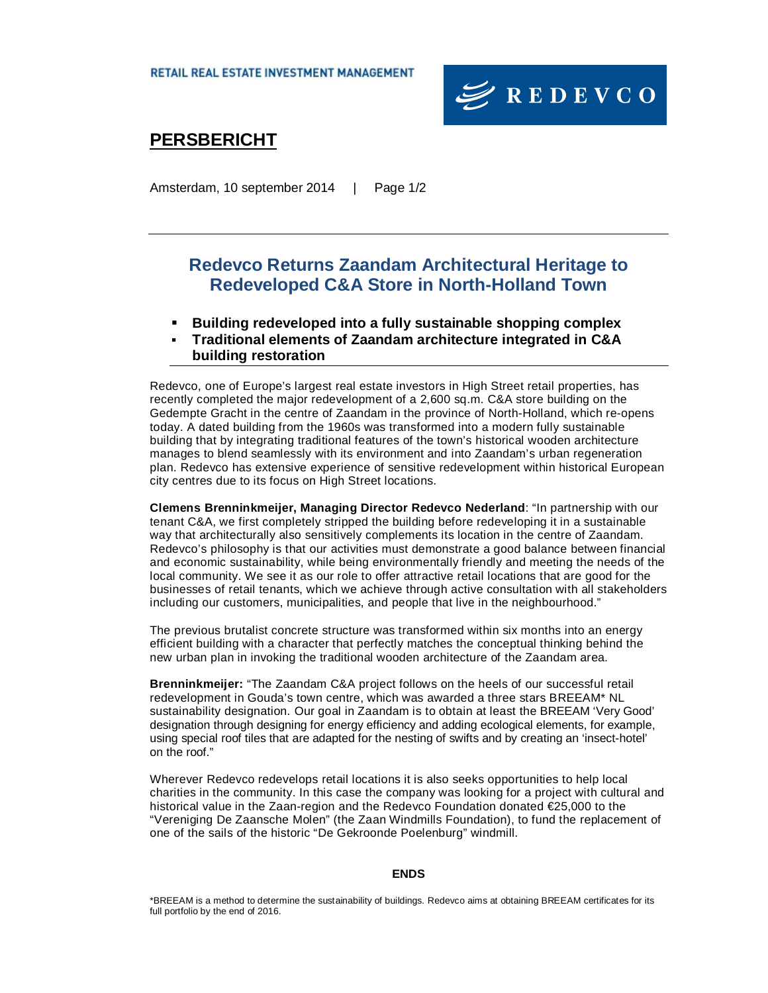

# **PERSBERICHT**

Amsterdam, 10 september 2014 | Page 1/2

### **Redevco Returns Zaandam Architectural Heritage to Redeveloped C&A Store in North-Holland Town**

- � **Building redeveloped into a fully sustainable shopping complex**
- � **Traditional elements of Zaandam architecture integrated in C&A building restoration**

Redevco, one of Europe's largest real estate investors in High Street retail properties, has recently completed the major redevelopment of a 2,600 sq.m. C&A store building on the Gedempte Gracht in the centre of Zaandam in the province of North-Holland, which re-opens today. A dated building from the 1960s was transformed into a modern fully sustainable building that by integrating traditional features of the town's historical wooden architecture manages to blend seamlessly with its environment and into Zaandam's urban regeneration plan. Redevco has extensive experience of sensitive redevelopment within historical European city centres due to its focus on High Street locations.

**Clemens Brenninkmeijer, Managing Director Redevco Nederland**: "In partnership with our tenant C&A, we first completely stripped the building before redeveloping it in a sustainable way that architecturally also sensitively complements its location in the centre of Zaandam. Redevco's philosophy is that our activities must demonstrate a good balance between financial and economic sustainability, while being environmentally friendly and meeting the needs of the local community. We see it as our role to offer attractive retail locations that are good for the businesses of retail tenants, which we achieve through active consultation with all stakeholders including our customers, municipalities, and people that live in the neighbourhood."

The previous brutalist concrete structure was transformed within six months into an energy efficient building with a character that perfectly matches the conceptual thinking behind the new urban plan in invoking the traditional wooden architecture of the Zaandam area.

**Brenninkmeijer:** "The Zaandam C&A project follows on the heels of our successful retail redevelopment in Gouda's town centre, which was awarded a three stars BREEAM\* NL sustainability designation. Our goal in Zaandam is to obtain at least the BREEAM 'Very Good' designation through designing for energy efficiency and adding ecological elements, for example, using special roof tiles that are adapted for the nesting of swifts and by creating an 'insect-hotel' on the roof."

Wherever Redevco redevelops retail locations it is also seeks opportunities to help local charities in the community. In this case the company was looking for a project with cultural and historical value in the Zaan-region and the Redevco Foundation donated €25,000 to the "Vereniging De Zaansche Molen" (the Zaan Windmills Foundation), to fund the replacement of one of the sails of the historic "De Gekroonde Poelenburg" windmill.

**ENDS**

<sup>\*</sup>BREEAM is a method to determine the sustainability of buildings. Redevco aims at obtaining BREEAM certificates for its full portfolio by the end of 2016.